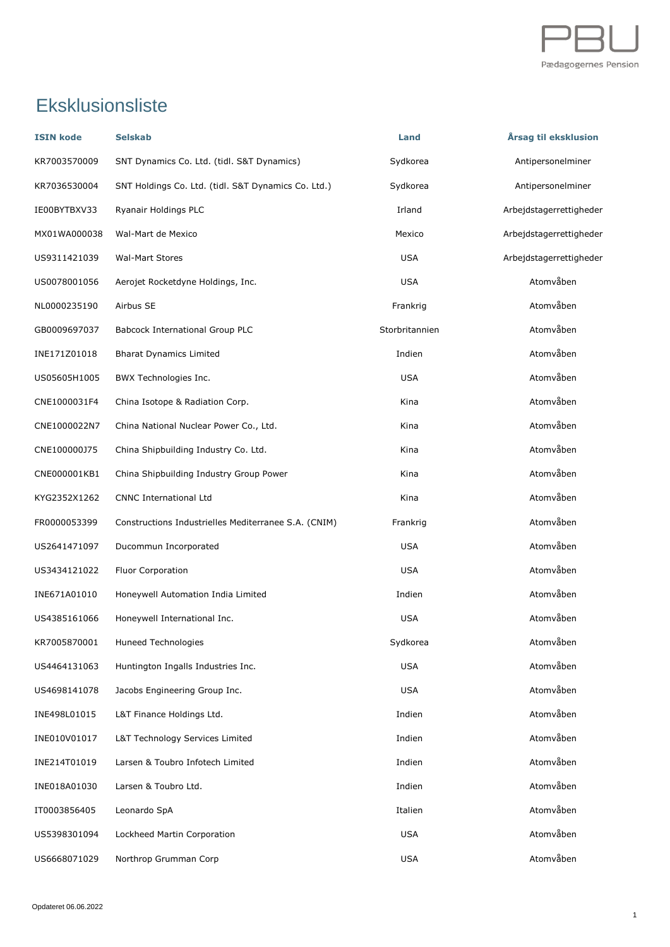

## Eksklusionsliste

| <b>ISIN kode</b> | <b>Selskab</b>                                       | Land           | Årsag til eksklusion    |
|------------------|------------------------------------------------------|----------------|-------------------------|
| KR7003570009     | SNT Dynamics Co. Ltd. (tidl. S&T Dynamics)           | Sydkorea       | Antipersonelminer       |
| KR7036530004     | SNT Holdings Co. Ltd. (tidl. S&T Dynamics Co. Ltd.)  | Sydkorea       | Antipersonelminer       |
| IE00BYTBXV33     | Ryanair Holdings PLC                                 | Irland         | Arbejdstagerrettigheder |
| MX01WA000038     | Wal-Mart de Mexico                                   | Mexico         | Arbejdstagerrettigheder |
| US9311421039     | <b>Wal-Mart Stores</b>                               | <b>USA</b>     | Arbeidstagerrettigheder |
| US0078001056     | Aerojet Rocketdyne Holdings, Inc.                    | <b>USA</b>     | Atomvåben               |
| NL0000235190     | Airbus SE                                            | Frankrig       | Atomvåben               |
| GB0009697037     | Babcock International Group PLC                      | Storbritannien | Atomvåben               |
| INE171Z01018     | <b>Bharat Dynamics Limited</b>                       | Indien         | Atomvåben               |
| US05605H1005     | BWX Technologies Inc.                                | <b>USA</b>     | Atomvåben               |
| CNE1000031F4     | China Isotope & Radiation Corp.                      | Kina           | Atomvåben               |
| CNE1000022N7     | China National Nuclear Power Co., Ltd.               | Kina           | Atomvåben               |
| CNE100000J75     | China Shipbuilding Industry Co. Ltd.                 | Kina           | Atomvåben               |
| CNE000001KB1     | China Shipbuilding Industry Group Power              | Kina           | Atomvåben               |
| KYG2352X1262     | <b>CNNC International Ltd</b>                        | Kina           | Atomvåben               |
| FR0000053399     | Constructions Industrielles Mediterranee S.A. (CNIM) | Frankrig       | Atomvåben               |
| US2641471097     | Ducommun Incorporated                                | USA            | Atomvåben               |
| US3434121022     | Fluor Corporation                                    | <b>USA</b>     | Atomvåben               |
| INE671A01010     | Honeywell Automation India Limited                   | Indien         | Atomvåben               |
| US4385161066     | Honeywell International Inc.                         | <b>USA</b>     | Atomvåben               |
| KR7005870001     | Huneed Technologies                                  | Sydkorea       | Atomvåben               |
| US4464131063     | Huntington Ingalls Industries Inc.                   | <b>USA</b>     | Atomvåben               |
| US4698141078     | Jacobs Engineering Group Inc.                        | <b>USA</b>     | Atomvåben               |
| INE498L01015     | L&T Finance Holdings Ltd.                            | Indien         | Atomvåben               |
| INE010V01017     | L&T Technology Services Limited                      | Indien         | Atomvåben               |
| INE214T01019     | Larsen & Toubro Infotech Limited                     | Indien         | Atomvåben               |
| INE018A01030     | Larsen & Toubro Ltd.                                 | Indien         | Atomvåben               |
| IT0003856405     | Leonardo SpA                                         | Italien        | Atomvåben               |
| US5398301094     | Lockheed Martin Corporation                          | <b>USA</b>     | Atomvåben               |
| US6668071029     | Northrop Grumman Corp                                | <b>USA</b>     | Atomvåben               |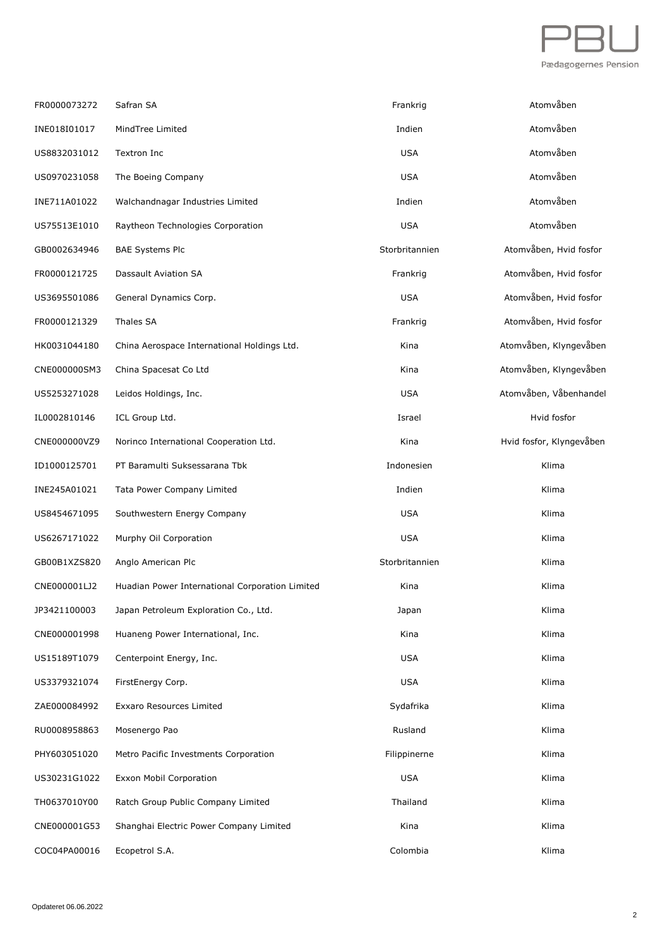

| FR0000073272 | Safran SA                                       | Frankrig       | Atomvåben                |
|--------------|-------------------------------------------------|----------------|--------------------------|
| INE018I01017 | MindTree Limited                                | Indien         | Atomvåben                |
| US8832031012 | Textron Inc                                     | <b>USA</b>     | Atomvåben                |
| US0970231058 | The Boeing Company                              | <b>USA</b>     | Atomvåben                |
| INE711A01022 | Walchandnagar Industries Limited                | Indien         | Atomvåben                |
| US75513E1010 | Raytheon Technologies Corporation               | <b>USA</b>     | Atomvåben                |
| GB0002634946 | <b>BAE Systems Plc</b>                          | Storbritannien | Atomvåben, Hvid fosfor   |
| FR0000121725 | Dassault Aviation SA                            | Frankrig       | Atomvåben, Hvid fosfor   |
| US3695501086 | General Dynamics Corp.                          | <b>USA</b>     | Atomvåben, Hvid fosfor   |
| FR0000121329 | Thales SA                                       | Frankrig       | Atomvåben, Hvid fosfor   |
| HK0031044180 | China Aerospace International Holdings Ltd.     | Kina           | Atomvåben, Klyngevåben   |
| CNE000000SM3 | China Spacesat Co Ltd                           | Kina           | Atomvåben, Klyngevåben   |
| US5253271028 | Leidos Holdings, Inc.                           | <b>USA</b>     | Atomvåben, Våbenhandel   |
| IL0002810146 | ICL Group Ltd.                                  | Israel         | Hvid fosfor              |
| CNE000000VZ9 | Norinco International Cooperation Ltd.          | Kina           | Hvid fosfor, Klyngevåben |
| ID1000125701 | PT Baramulti Suksessarana Tbk                   | Indonesien     | Klima                    |
| INE245A01021 | Tata Power Company Limited                      | Indien         | Klima                    |
| US8454671095 | Southwestern Energy Company                     | <b>USA</b>     | Klima                    |
| US6267171022 | Murphy Oil Corporation                          | <b>USA</b>     | Klima                    |
| GB00B1XZS820 | Anglo American Plc                              | Storbritannien | Klima                    |
| CNE000001LJ2 | Huadian Power International Corporation Limited | Kina           | Klima                    |
| JP3421100003 | Japan Petroleum Exploration Co., Ltd.           | Japan          | Klima                    |
| CNE000001998 | Huaneng Power International, Inc.               | Kina           | Klima                    |
| US15189T1079 | Centerpoint Energy, Inc.                        | <b>USA</b>     | Klima                    |
| US3379321074 | FirstEnergy Corp.                               | <b>USA</b>     | Klima                    |
| ZAE000084992 | <b>Exxaro Resources Limited</b>                 | Sydafrika      | Klima                    |
| RU0008958863 | Mosenergo Pao                                   | Rusland        | Klima                    |
| PHY603051020 | Metro Pacific Investments Corporation           | Filippinerne   | Klima                    |
| US30231G1022 | Exxon Mobil Corporation                         | <b>USA</b>     | Klima                    |
| TH0637010Y00 | Ratch Group Public Company Limited              | Thailand       | Klima                    |
| CNE000001G53 | Shanghai Electric Power Company Limited         | Kina           | Klima                    |
| COC04PA00016 | Ecopetrol S.A.                                  | Colombia       | Klima                    |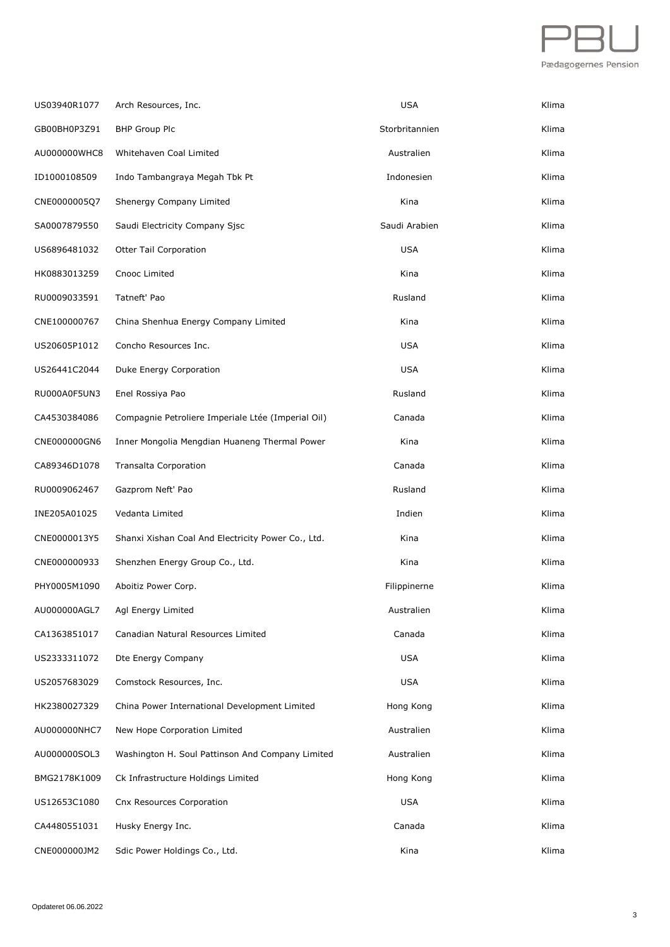

| US03940R1077 | Arch Resources, Inc.                               | <b>USA</b>     | Klima |
|--------------|----------------------------------------------------|----------------|-------|
| GB00BH0P3Z91 | <b>BHP Group Plc</b>                               | Storbritannien | Klima |
| AU000000WHC8 | Whitehaven Coal Limited                            | Australien     | Klima |
| ID1000108509 | Indo Tambangraya Megah Tbk Pt                      | Indonesien     | Klima |
| CNE0000005Q7 | Shenergy Company Limited                           | Kina           | Klima |
| SA0007879550 | Saudi Electricity Company Sjsc                     | Saudi Arabien  | Klima |
| US6896481032 | <b>Otter Tail Corporation</b>                      | <b>USA</b>     | Klima |
| HK0883013259 | Cnooc Limited                                      | Kina           | Klima |
| RU0009033591 | Tatneft' Pao                                       | Rusland        | Klima |
| CNE100000767 | China Shenhua Energy Company Limited               | Kina           | Klima |
| US20605P1012 | Concho Resources Inc.                              | <b>USA</b>     | Klima |
| US26441C2044 | Duke Energy Corporation                            | <b>USA</b>     | Klima |
| RU000A0F5UN3 | Enel Rossiya Pao                                   | Rusland        | Klima |
| CA4530384086 | Compagnie Petroliere Imperiale Ltée (Imperial Oil) | Canada         | Klima |
| CNE000000GN6 | Inner Mongolia Mengdian Huaneng Thermal Power      | Kina           | Klima |
| CA89346D1078 | <b>Transalta Corporation</b>                       | Canada         | Klima |
| RU0009062467 | Gazprom Neft' Pao                                  | Rusland        | Klima |
| INE205A01025 | Vedanta Limited                                    | Indien         | Klima |
| CNE0000013Y5 | Shanxi Xishan Coal And Electricity Power Co., Ltd. | Kina           | Klima |
| CNE000000933 | Shenzhen Energy Group Co., Ltd.                    | Kina           | Klima |
| PHY0005M1090 | Aboitiz Power Corp.                                | Filippinerne   | Klima |
| AU000000AGL7 | Agl Energy Limited                                 | Australien     | Klima |
| CA1363851017 | Canadian Natural Resources Limited                 | Canada         | Klima |
| US2333311072 | Dte Energy Company                                 | <b>USA</b>     | Klima |
| US2057683029 | Comstock Resources, Inc.                           | <b>USA</b>     | Klima |
| HK2380027329 | China Power International Development Limited      | Hong Kong      | Klima |
| AU000000NHC7 | New Hope Corporation Limited                       | Australien     | Klima |
| AU000000SOL3 | Washington H. Soul Pattinson And Company Limited   | Australien     | Klima |
| BMG2178K1009 | Ck Infrastructure Holdings Limited                 | Hong Kong      | Klima |
| US12653C1080 | Cnx Resources Corporation                          | <b>USA</b>     | Klima |
| CA4480551031 | Husky Energy Inc.                                  | Canada         | Klima |
| CNE000000JM2 | Sdic Power Holdings Co., Ltd.                      | Kina           | Klima |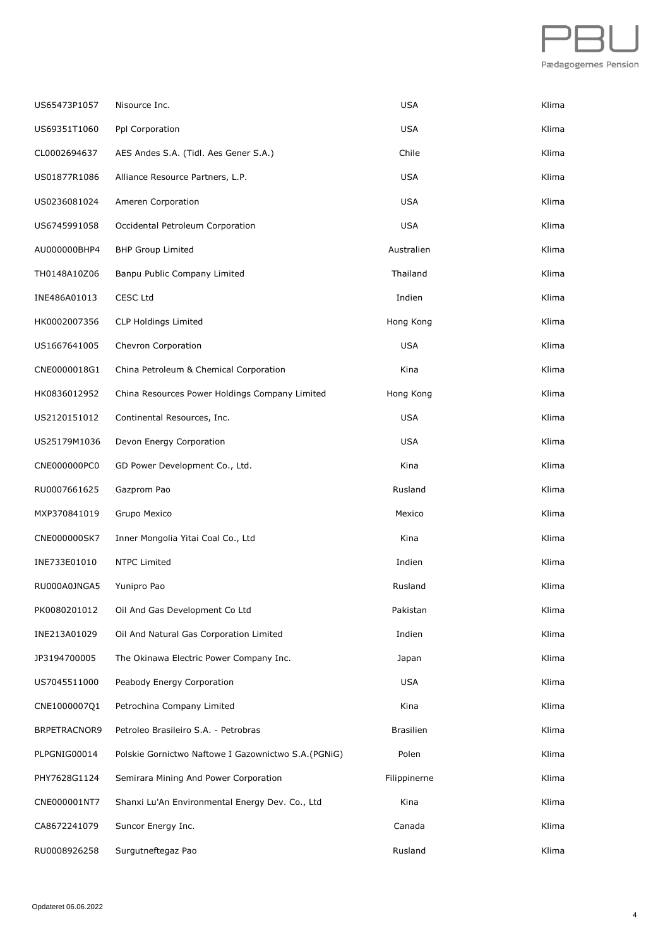

| US65473P1057 | Nisource Inc.                                        | <b>USA</b>       | Klima |
|--------------|------------------------------------------------------|------------------|-------|
| US69351T1060 | Ppl Corporation                                      | <b>USA</b>       | Klima |
| CL0002694637 | AES Andes S.A. (Tidl. Aes Gener S.A.)                | Chile            | Klima |
| US01877R1086 | Alliance Resource Partners, L.P.                     | <b>USA</b>       | Klima |
| US0236081024 | Ameren Corporation                                   | <b>USA</b>       | Klima |
| US6745991058 | Occidental Petroleum Corporation                     | <b>USA</b>       | Klima |
| AU000000BHP4 | <b>BHP Group Limited</b>                             | Australien       | Klima |
| TH0148A10Z06 | Banpu Public Company Limited                         | Thailand         | Klima |
| INE486A01013 | CESC Ltd                                             | Indien           | Klima |
| HK0002007356 | <b>CLP Holdings Limited</b>                          | Hong Kong        | Klima |
| US1667641005 | Chevron Corporation                                  | <b>USA</b>       | Klima |
| CNE0000018G1 | China Petroleum & Chemical Corporation               | Kina             | Klima |
| HK0836012952 | China Resources Power Holdings Company Limited       | Hong Kong        | Klima |
| US2120151012 | Continental Resources, Inc.                          | <b>USA</b>       | Klima |
| US25179M1036 | Devon Energy Corporation                             | <b>USA</b>       | Klima |
| CNE000000PC0 | GD Power Development Co., Ltd.                       | Kina             | Klima |
| RU0007661625 | Gazprom Pao                                          | Rusland          | Klima |
| MXP370841019 | Grupo Mexico                                         | Mexico           | Klima |
| CNE000000SK7 | Inner Mongolia Yitai Coal Co., Ltd                   | Kina             | Klima |
| INE733E01010 | <b>NTPC Limited</b>                                  | Indien           | Klima |
| RU000A0JNGA5 | Yunipro Pao                                          | Rusland          | Klima |
| PK0080201012 | Oil And Gas Development Co Ltd                       | Pakistan         | Klima |
| INE213A01029 | Oil And Natural Gas Corporation Limited              | Indien           | Klima |
| JP3194700005 | The Okinawa Electric Power Company Inc.              | Japan            | Klima |
| US7045511000 | Peabody Energy Corporation                           | USA              | Klima |
| CNE1000007Q1 | Petrochina Company Limited                           | Kina             | Klima |
| BRPETRACNOR9 | Petroleo Brasileiro S.A. - Petrobras                 | <b>Brasilien</b> | Klima |
| PLPGNIG00014 | Polskie Gornictwo Naftowe I Gazownictwo S.A. (PGNIG) | Polen            | Klima |
| PHY7628G1124 | Semirara Mining And Power Corporation                | Filippinerne     | Klima |
| CNE000001NT7 | Shanxi Lu'An Environmental Energy Dev. Co., Ltd      | Kina             | Klima |
| CA8672241079 | Suncor Energy Inc.                                   | Canada           | Klima |
| RU0008926258 | Surgutneftegaz Pao                                   | Rusland          | Klima |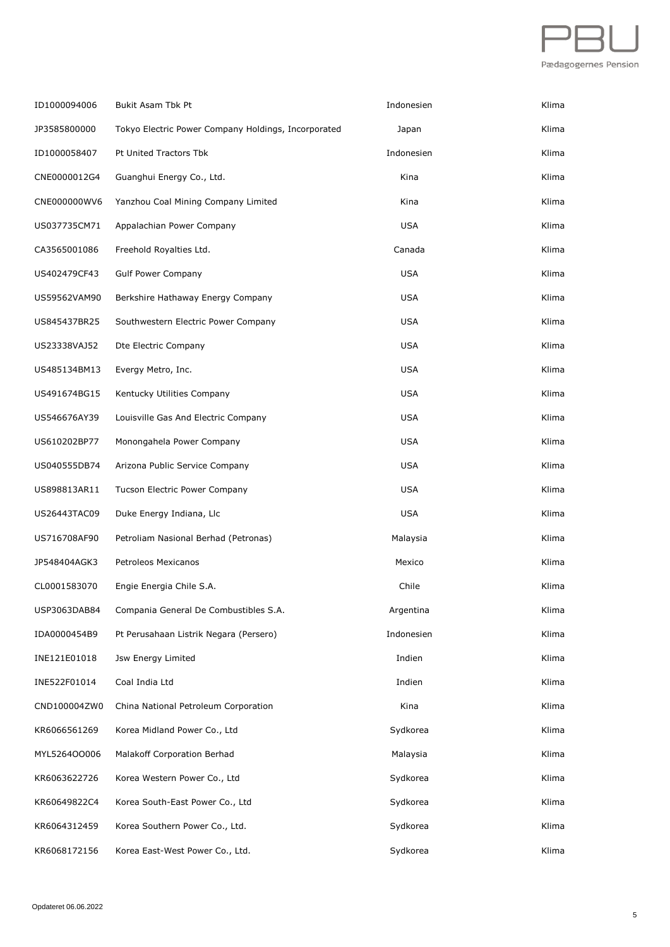

| ID1000094006 | Bukit Asam Tbk Pt                                   | Indonesien | Klima |
|--------------|-----------------------------------------------------|------------|-------|
| JP3585800000 | Tokyo Electric Power Company Holdings, Incorporated | Japan      | Klima |
| ID1000058407 | Pt United Tractors Tbk                              | Indonesien | Klima |
| CNE0000012G4 | Guanghui Energy Co., Ltd.                           | Kina       | Klima |
| CNE000000WV6 | Yanzhou Coal Mining Company Limited                 | Kina       | Klima |
| US037735CM71 | Appalachian Power Company                           | <b>USA</b> | Klima |
| CA3565001086 | Freehold Royalties Ltd.                             | Canada     | Klima |
| US402479CF43 | <b>Gulf Power Company</b>                           | <b>USA</b> | Klima |
| US59562VAM90 | Berkshire Hathaway Energy Company                   | <b>USA</b> | Klima |
| US845437BR25 | Southwestern Electric Power Company                 | <b>USA</b> | Klima |
| US23338VAJ52 | Dte Electric Company                                | <b>USA</b> | Klima |
| US485134BM13 | Evergy Metro, Inc.                                  | <b>USA</b> | Klima |
| US491674BG15 | Kentucky Utilities Company                          | <b>USA</b> | Klima |
| US546676AY39 | Louisville Gas And Electric Company                 | <b>USA</b> | Klima |
| US610202BP77 | Monongahela Power Company                           | <b>USA</b> | Klima |
| US040555DB74 | Arizona Public Service Company                      | <b>USA</b> | Klima |
| US898813AR11 | Tucson Electric Power Company                       | <b>USA</b> | Klima |
| US26443TAC09 | Duke Energy Indiana, Llc                            | <b>USA</b> | Klima |
| US716708AF90 | Petroliam Nasional Berhad (Petronas)                | Malaysia   | Klima |
| JP548404AGK3 | Petroleos Mexicanos                                 | Mexico     | Klima |
| CL0001583070 | Engie Energia Chile S.A.                            | Chile      | Klima |
| USP3063DAB84 | Compania General De Combustibles S.A.               | Argentina  | Klima |
| IDA0000454B9 | Pt Perusahaan Listrik Negara (Persero)              | Indonesien | Klima |
| INE121E01018 | Jsw Energy Limited                                  | Indien     | Klima |
| INE522F01014 | Coal India Ltd                                      | Indien     | Klima |
| CND100004ZW0 | China National Petroleum Corporation                | Kina       | Klima |
| KR6066561269 | Korea Midland Power Co., Ltd                        | Sydkorea   | Klima |
| MYL5264OO006 | Malakoff Corporation Berhad                         | Malaysia   | Klima |
| KR6063622726 | Korea Western Power Co., Ltd                        | Sydkorea   | Klima |
| KR60649822C4 | Korea South-East Power Co., Ltd                     | Sydkorea   | Klima |
| KR6064312459 | Korea Southern Power Co., Ltd.                      | Sydkorea   | Klima |
| KR6068172156 | Korea East-West Power Co., Ltd.                     | Sydkorea   | Klima |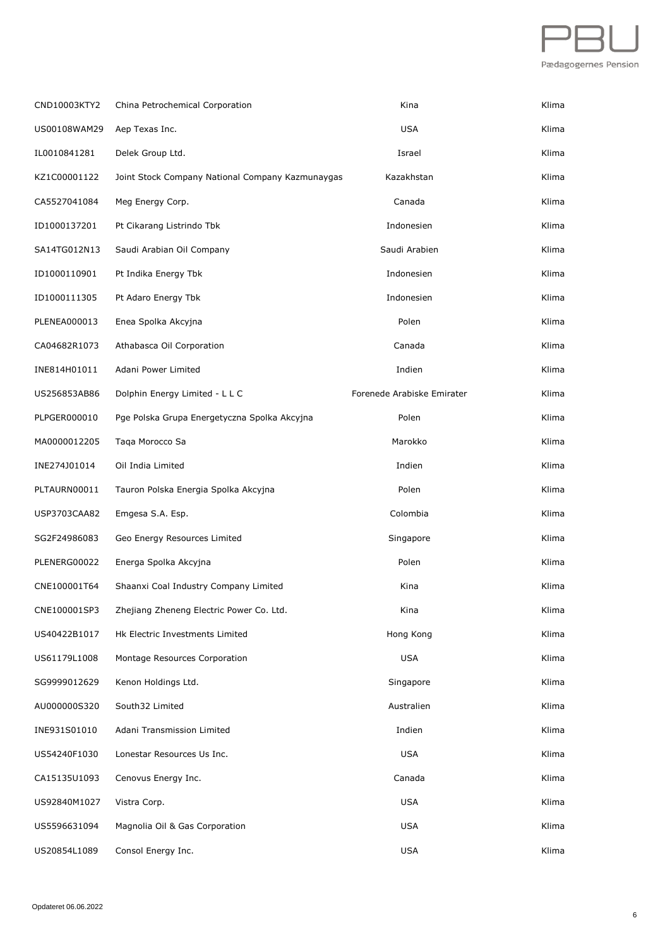

| CND10003KTY2 | China Petrochemical Corporation                  | Kina                       | Klima |
|--------------|--------------------------------------------------|----------------------------|-------|
| US00108WAM29 | Aep Texas Inc.                                   | <b>USA</b>                 | Klima |
| IL0010841281 | Delek Group Ltd.                                 | Israel                     | Klima |
| KZ1C00001122 | Joint Stock Company National Company Kazmunaygas | Kazakhstan                 | Klima |
| CA5527041084 | Meg Energy Corp.                                 | Canada                     | Klima |
| ID1000137201 | Pt Cikarang Listrindo Tbk                        | Indonesien                 | Klima |
| SA14TG012N13 | Saudi Arabian Oil Company                        | Saudi Arabien              | Klima |
| ID1000110901 | Pt Indika Energy Tbk                             | Indonesien                 | Klima |
| ID1000111305 | Pt Adaro Energy Tbk                              | Indonesien                 | Klima |
| PLENEA000013 | Enea Spolka Akcyjna                              | Polen                      | Klima |
| CA04682R1073 | Athabasca Oil Corporation                        | Canada                     | Klima |
| INE814H01011 | Adani Power Limited                              | Indien                     | Klima |
| US256853AB86 | Dolphin Energy Limited - L L C                   | Forenede Arabiske Emirater | Klima |
| PLPGER000010 | Pge Polska Grupa Energetyczna Spolka Akcyjna     | Polen                      | Klima |
| MA0000012205 | Taqa Morocco Sa                                  | Marokko                    | Klima |
| INE274J01014 | Oil India Limited                                | Indien                     | Klima |
| PLTAURN00011 | Tauron Polska Energia Spolka Akcyjna             | Polen                      | Klima |
| USP3703CAA82 | Emgesa S.A. Esp.                                 | Colombia                   | Klima |
| SG2F24986083 | Geo Energy Resources Limited                     | Singapore                  | Klima |
| PLENERG00022 | Energa Spolka Akcyjna                            | Polen                      | Klima |
| CNE100001T64 | Shaanxi Coal Industry Company Limited            | Kina                       | Klima |
| CNE100001SP3 | Zhejiang Zheneng Electric Power Co. Ltd.         | Kina                       | Klima |
| US40422B1017 | Hk Electric Investments Limited                  | Hong Kong                  | Klima |
| US61179L1008 | Montage Resources Corporation                    | <b>USA</b>                 | Klima |
| SG9999012629 | Kenon Holdings Ltd.                              | Singapore                  | Klima |
| AU000000S320 | South32 Limited                                  | Australien                 | Klima |
| INE931S01010 | Adani Transmission Limited                       | Indien                     | Klima |
| US54240F1030 | Lonestar Resources Us Inc.                       | <b>USA</b>                 | Klima |
| CA15135U1093 | Cenovus Energy Inc.                              | Canada                     | Klima |
| US92840M1027 | Vistra Corp.                                     | <b>USA</b>                 | Klima |
| US5596631094 | Magnolia Oil & Gas Corporation                   | <b>USA</b>                 | Klima |
| US20854L1089 | Consol Energy Inc.                               | <b>USA</b>                 | Klima |